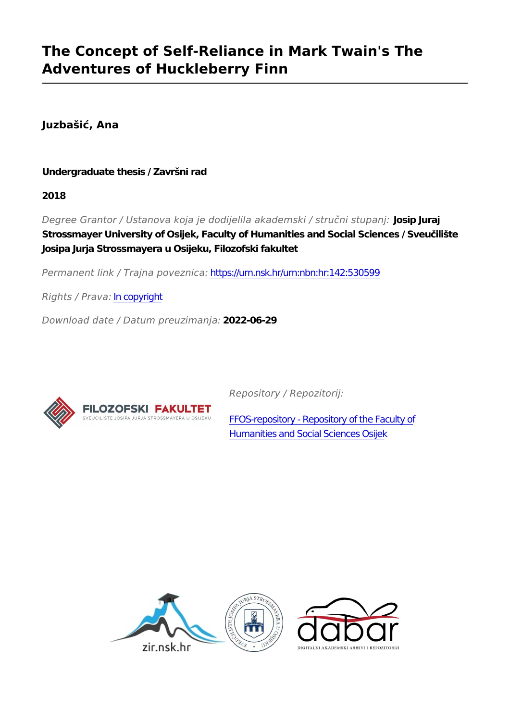## **The Concept of Self-Reliance in Mark Twain's The Adventures of Huckleberry Finn**

**Juzbašić, Ana**

**Undergraduate thesis / Završni rad**

**2018**

*Degree Grantor / Ustanova koja je dodijelila akademski / stručni stupanj:* **Josip Juraj Strossmayer University of Osijek, Faculty of Humanities and Social Sciences / Sveučilište Josipa Jurja Strossmayera u Osijeku, Filozofski fakultet**

*Permanent link / Trajna poveznica:* <https://urn.nsk.hr/urn:nbn:hr:142:530599>

*Rights / Prava:* [In copyright](http://rightsstatements.org/vocab/InC/1.0/)

*Download date / Datum preuzimanja:* **2022-06-29**



*Repository / Repozitorij:*

[FFOS-repository - Repository of the Faculty of](https://repozitorij.ffos.hr) [Humanities and Social Sciences Osijek](https://repozitorij.ffos.hr)

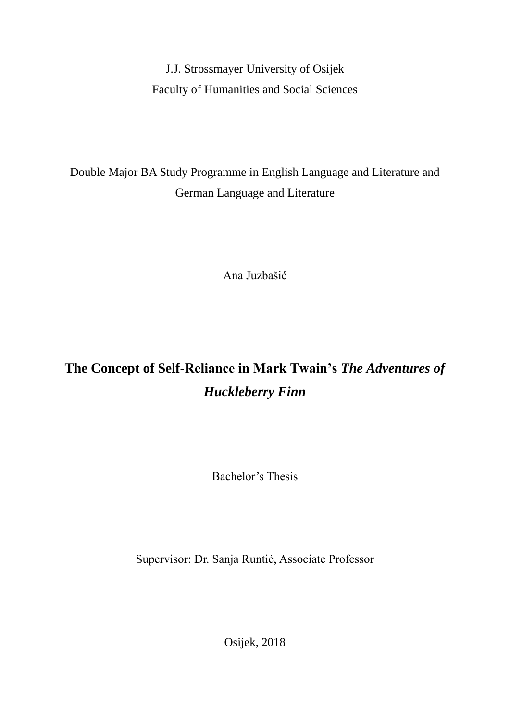J.J. Strossmayer University of Osijek Faculty of Humanities and Social Sciences

Double Major BA Study Programme in English Language and Literature and German Language and Literature

Ana Juzbašić

# **The Concept of Self-Reliance in Mark Twain's** *The Adventures of Huckleberry Finn*

Bachelor's Thesis

Supervisor: Dr. Sanja Runtić, Associate Professor

Osijek, 2018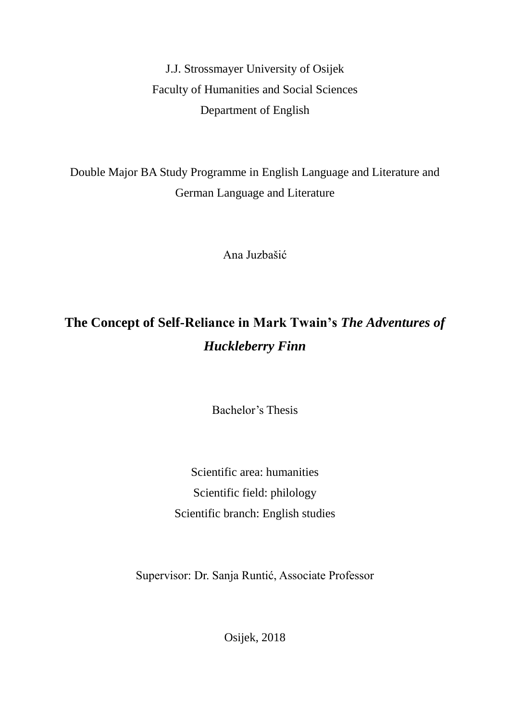J.J. Strossmayer University of Osijek Faculty of Humanities and Social Sciences Department of English

Double Major BA Study Programme in English Language and Literature and German Language and Literature

Ana Juzbašić

## **The Concept of Self-Reliance in Mark Twain's** *The Adventures of Huckleberry Finn*

Bachelor's Thesis

Scientific area: humanities Scientific field: philology Scientific branch: English studies

Supervisor: Dr. Sanja Runtić, Associate Professor

Osijek, 2018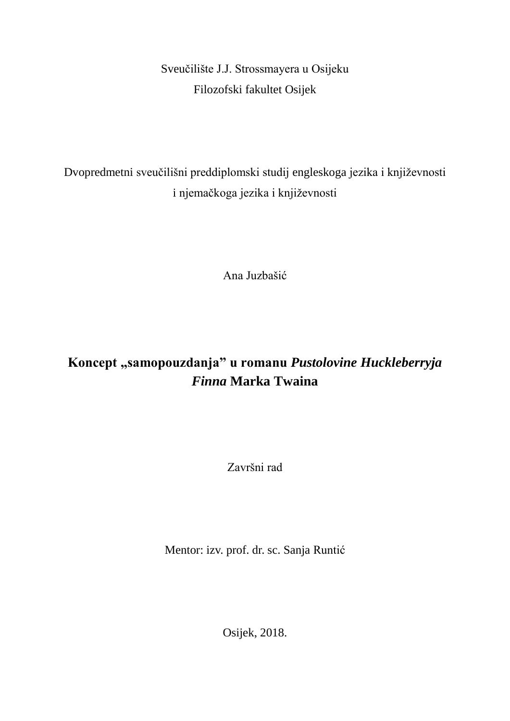Sveučilište J.J. Strossmayera u Osijeku Filozofski fakultet Osijek

Dvopredmetni sveučilišni preddiplomski studij engleskoga jezika i književnosti i njemačkoga jezika i književnosti

Ana Juzbašić

## **Koncept "samopouzdanja" u romanu** *Pustolovine Huckleberryja Finna* **Marka Twaina**

Završni rad

Mentor: izv. prof. dr. sc. Sanja Runtić

Osijek, 2018.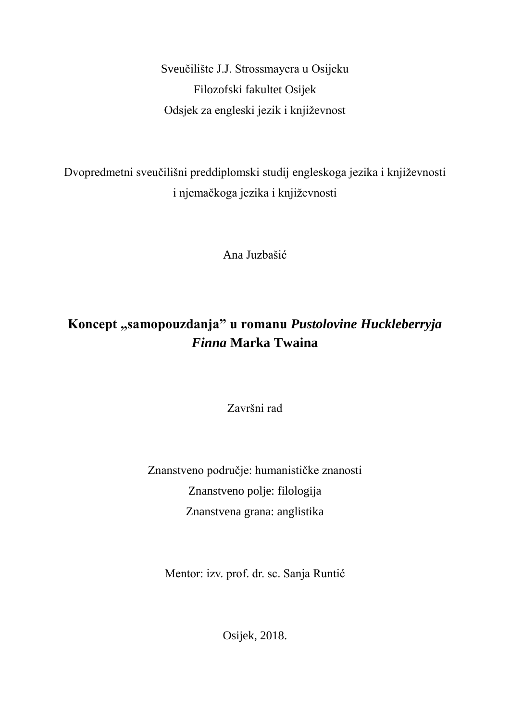Sveučilište J.J. Strossmayera u Osijeku Filozofski fakultet Osijek Odsjek za engleski jezik i književnost

Dvopredmetni sveučilišni preddiplomski studij engleskoga jezika i književnosti i njemačkoga jezika i književnosti

Ana Juzbašić

### **Koncept "samopouzdanja" u romanu** *Pustolovine Huckleberryja Finna* **Marka Twaina**

Završni rad

Znanstveno područje: humanističke znanosti Znanstveno polje: filologija Znanstvena grana: anglistika

Mentor: izv. prof. dr. sc. Sanja Runtić

Osijek, 2018.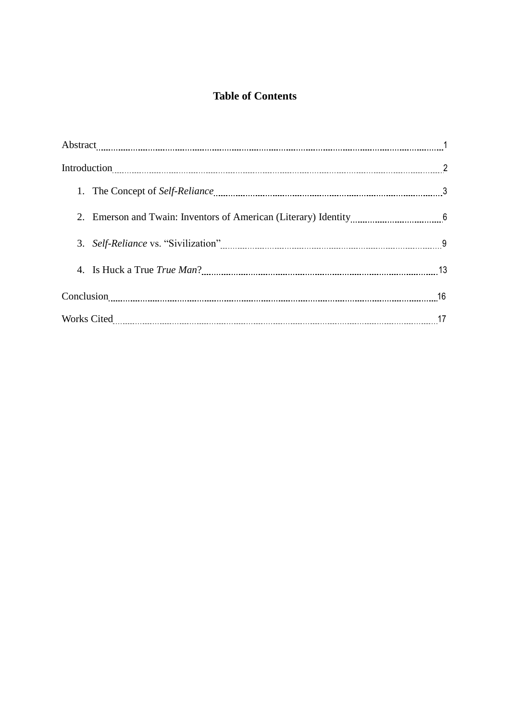### **Table of Contents**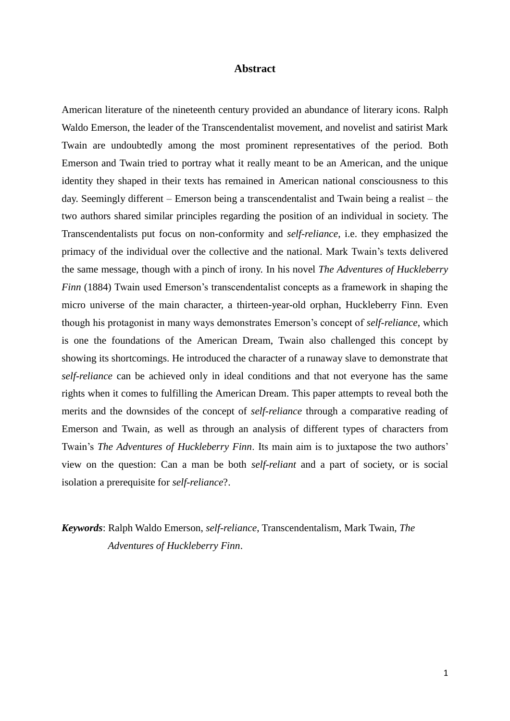#### **Abstract**

American literature of the nineteenth century provided an abundance of literary icons. Ralph Waldo Emerson, the leader of the Transcendentalist movement, and novelist and satirist Mark Twain are undoubtedly among the most prominent representatives of the period. Both Emerson and Twain tried to portray what it really meant to be an American, and the unique identity they shaped in their texts has remained in American national consciousness to this day. Seemingly different – Emerson being a transcendentalist and Twain being a realist – the two authors shared similar principles regarding the position of an individual in society. The Transcendentalists put focus on non-conformity and *self-reliance*, i.e. they emphasized the primacy of the individual over the collective and the national. Mark Twain's texts delivered the same message, though with a pinch of irony. In his novel *The Adventures of Huckleberry Finn* (1884) Twain used Emerson's transcendentalist concepts as a framework in shaping the micro universe of the main character, a thirteen-year-old orphan, Huckleberry Finn. Even though his protagonist in many ways demonstrates Emerson's concept of *self-reliance*, which is one the foundations of the American Dream, Twain also challenged this concept by showing its shortcomings. He introduced the character of a runaway slave to demonstrate that *self-reliance* can be achieved only in ideal conditions and that not everyone has the same rights when it comes to fulfilling the American Dream. This paper attempts to reveal both the merits and the downsides of the concept of *self-reliance* through a comparative reading of Emerson and Twain, as well as through an analysis of different types of characters from Twain's *The Adventures of Huckleberry Finn*. Its main aim is to juxtapose the two authors' view on the question: Can a man be both *self-reliant* and a part of society, or is social isolation a prerequisite for *self-reliance*?.

*Keywords*: Ralph Waldo Emerson, *self-reliance*, Transcendentalism, Mark Twain, *The Adventures of Huckleberry Finn*.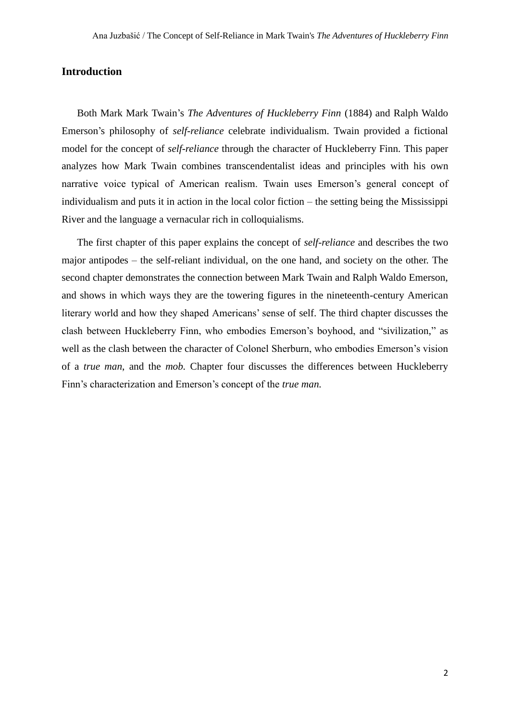#### **Introduction**

Both Mark Mark Twain's *The Adventures of Huckleberry Finn* (1884) and Ralph Waldo Emerson's philosophy of *self-reliance* celebrate individualism. Twain provided a fictional model for the concept of *self-reliance* through the character of Huckleberry Finn. This paper analyzes how Mark Twain combines transcendentalist ideas and principles with his own narrative voice typical of American realism. Twain uses Emerson's general concept of individualism and puts it in action in the local color fiction – the setting being the Mississippi River and the language a vernacular rich in colloquialisms.

The first chapter of this paper explains the concept of *self-reliance* and describes the two major antipodes – the self-reliant individual, on the one hand, and society on the other. The second chapter demonstrates the connection between Mark Twain and Ralph Waldo Emerson, and shows in which ways they are the towering figures in the nineteenth-century American literary world and how they shaped Americans' sense of self. The third chapter discusses the clash between Huckleberry Finn, who embodies Emerson's boyhood, and "sivilization," as well as the clash between the character of Colonel Sherburn, who embodies Emerson's vision of a *true man*, and the *mob.* Chapter four discusses the differences between Huckleberry Finn's characterization and Emerson's concept of the *true man.*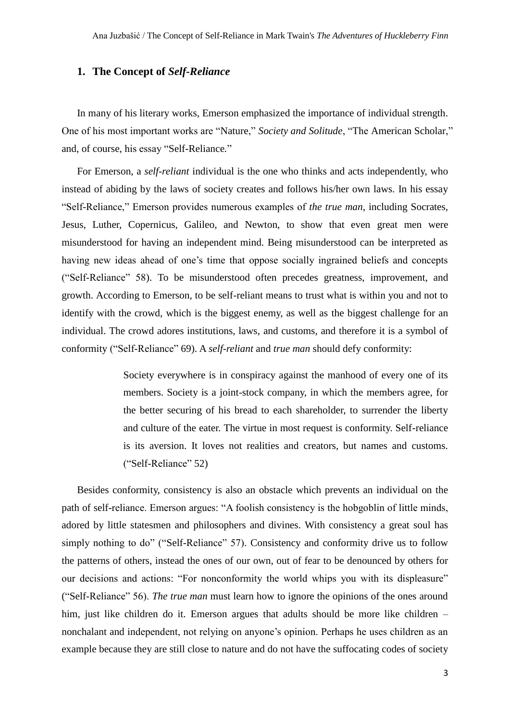#### **1. The Concept of** *Self-Reliance*

In many of his literary works, Emerson emphasized the importance of individual strength. One of his most important works are "Nature," *Society and Solitude*, "The American Scholar," and, of course, his essay "Self-Reliance*.*"

For Emerson, a *self-reliant* individual is the one who thinks and acts independently, who instead of abiding by the laws of society creates and follows his/her own laws. In his essay "Self-Reliance," Emerson provides numerous examples of *the true man*, including Socrates, Jesus, Luther, Copernicus, Galileo, and Newton, to show that even great men were misunderstood for having an independent mind. Being misunderstood can be interpreted as having new ideas ahead of one's time that oppose socially ingrained beliefs and concepts ("Self-Reliance" 58). To be misunderstood often precedes greatness, improvement, and growth. According to Emerson, to be self-reliant means to trust what is within you and not to identify with the crowd, which is the biggest enemy, as well as the biggest challenge for an individual. The crowd adores institutions, laws, and customs, and therefore it is a symbol of conformity ("Self-Reliance" 69). A *self-reliant* and *true man* should defy conformity:

> Society everywhere is in conspiracy against the manhood of every one of its members. Society is a joint-stock company, in which the members agree, for the better securing of his bread to each shareholder, to surrender the liberty and culture of the eater. The virtue in most request is conformity. Self-reliance is its aversion. It loves not realities and creators, but names and customs. ("Self-Reliance" 52)

Besides conformity, consistency is also an obstacle which prevents an individual on the path of self-reliance. Emerson argues: "A foolish consistency is the hobgoblin of little minds, adored by little statesmen and philosophers and divines. With consistency a great soul has simply nothing to do" ("Self-Reliance" 57). Consistency and conformity drive us to follow the patterns of others, instead the ones of our own, out of fear to be denounced by others for our decisions and actions: "For nonconformity the world whips you with its displeasure" ("Self-Reliance" 56). *The true man* must learn how to ignore the opinions of the ones around him, just like children do it. Emerson argues that adults should be more like children – nonchalant and independent, not relying on anyone's opinion. Perhaps he uses children as an example because they are still close to nature and do not have the suffocating codes of society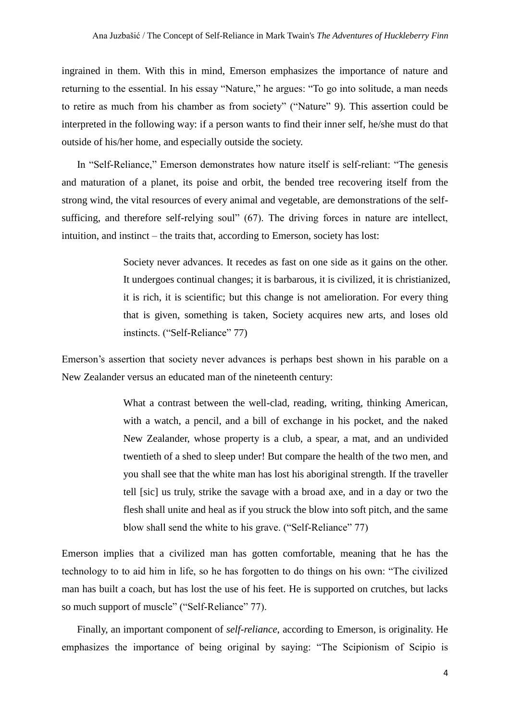ingrained in them. With this in mind, Emerson emphasizes the importance of nature and returning to the essential. In his essay "Nature," he argues: "To go into solitude, a man needs to retire as much from his chamber as from society" ("Nature" 9). This assertion could be interpreted in the following way: if a person wants to find their inner self, he/she must do that outside of his/her home, and especially outside the society.

In "Self-Reliance," Emerson demonstrates how nature itself is self-reliant: "The genesis and maturation of a planet, its poise and orbit, the bended tree recovering itself from the strong wind, the vital resources of every animal and vegetable, are demonstrations of the selfsufficing, and therefore self-relying soul" (67). The driving forces in nature are intellect, intuition, and instinct – the traits that, according to Emerson, society has lost:

> Society never advances. It recedes as fast on one side as it gains on the other. It undergoes continual changes; it is barbarous, it is civilized, it is christianized, it is rich, it is scientific; but this change is not amelioration. For every thing that is given, something is taken, Society acquires new arts, and loses old instincts. ("Self-Reliance" 77)

Emerson's assertion that society never advances is perhaps best shown in his parable on a New Zealander versus an educated man of the nineteenth century:

> What a contrast between the well-clad, reading, writing, thinking American, with a watch, a pencil, and a bill of exchange in his pocket, and the naked New Zealander, whose property is a club, a spear, a mat, and an undivided twentieth of a shed to sleep under! But compare the health of the two men, and you shall see that the white man has lost his aboriginal strength. If the traveller tell [sic] us truly, strike the savage with a broad axe, and in a day or two the flesh shall unite and heal as if you struck the blow into soft pitch, and the same blow shall send the white to his grave. ("Self-Reliance" 77)

Emerson implies that a civilized man has gotten comfortable, meaning that he has the technology to to aid him in life, so he has forgotten to do things on his own: "The civilized man has built a coach, but has lost the use of his feet. He is supported on crutches, but lacks so much support of muscle" ("Self-Reliance" 77).

Finally, an important component of *self-reliance*, according to Emerson, is originality. He emphasizes the importance of being original by saying: "The Scipionism of Scipio is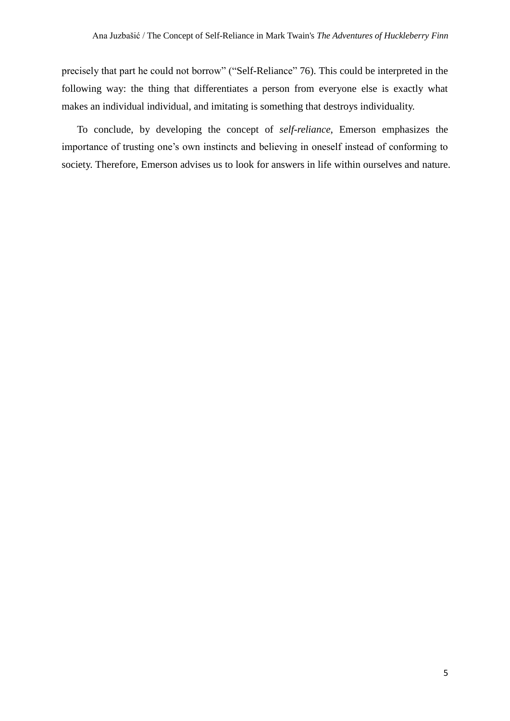precisely that part he could not borrow" ("Self-Reliance" 76). This could be interpreted in the following way: the thing that differentiates a person from everyone else is exactly what makes an individual individual, and imitating is something that destroys individuality.

To conclude, by developing the concept of *self-reliance*, Emerson emphasizes the importance of trusting one's own instincts and believing in oneself instead of conforming to society. Therefore, Emerson advises us to look for answers in life within ourselves and nature.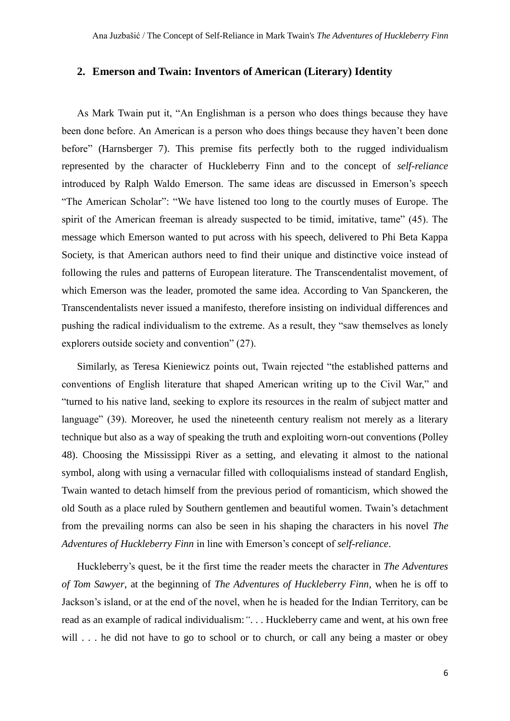#### **2. Emerson and Twain: Inventors of American (Literary) Identity**

As Mark Twain put it, "An Englishman is a person who does things because they have been done before. An American is a person who does things because they haven't been done before" (Harnsberger 7). This premise fits perfectly both to the rugged individualism represented by the character of Huckleberry Finn and to the concept of *self-reliance* introduced by Ralph Waldo Emerson. The same ideas are discussed in Emerson's speech "The American Scholar": "We have listened too long to the courtly muses of Europe. The spirit of the American freeman is already suspected to be timid, imitative, tame" (45). The message which Emerson wanted to put across with his speech, delivered to Phi Beta Kappa Society, is that American authors need to find their unique and distinctive voice instead of following the rules and patterns of European literature. The Transcendentalist movement, of which Emerson was the leader, promoted the same idea. According to Van Spanckeren, the Transcendentalists never issued a manifesto, therefore insisting on individual differences and pushing the radical individualism to the extreme. As a result, they "saw themselves as lonely explorers outside society and convention" (27).

Similarly, as Teresa Kieniewicz points out, Twain rejected "the established patterns and conventions of English literature that shaped American writing up to the Civil War," and "turned to his native land, seeking to explore its resources in the realm of subject matter and language" (39). Moreover, he used the nineteenth century realism not merely as a literary technique but also as a way of speaking the truth and exploiting worn-out conventions (Polley 48). Choosing the Mississippi River as a setting, and elevating it almost to the national symbol, along with using a vernacular filled with colloquialisms instead of standard English, Twain wanted to detach himself from the previous period of romanticism, which showed the old South as a place ruled by Southern gentlemen and beautiful women. Twain's detachment from the prevailing norms can also be seen in his shaping the characters in his novel *The Adventures of Huckleberry Finn* in line with Emerson's concept of *self-reliance*.

Huckleberry's quest, be it the first time the reader meets the character in *The Adventures of Tom Sawyer*, at the beginning of *The Adventures of Huckleberry Finn*, when he is off to Jackson's island, or at the end of the novel, when he is headed for the Indian Territory, can be read as an example of radical individualism:*"*. . . Huckleberry came and went, at his own free will . . . he did not have to go to school or to church, or call any being a master or obey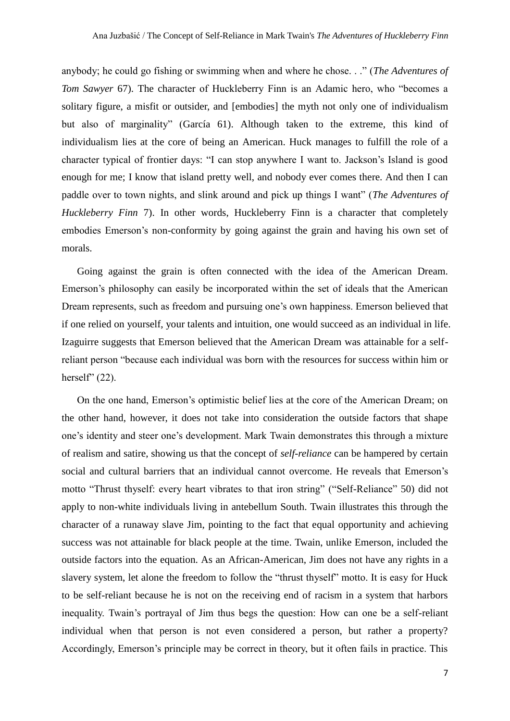anybody; he could go fishing or swimming when and where he chose. . ." (*The Adventures of Tom Sawyer* 67). The character of Huckleberry Finn is an Adamic hero, who "becomes a solitary figure, a misfit or outsider, and [embodies] the myth not only one of individualism but also of marginality" (García 61). Although taken to the extreme, this kind of individualism lies at the core of being an American. Huck manages to fulfill the role of a character typical of frontier days: "I can stop anywhere I want to. Jackson's Island is good enough for me; I know that island pretty well, and nobody ever comes there. And then I can paddle over to town nights, and slink around and pick up things I want" (*The Adventures of Huckleberry Finn* 7). In other words, Huckleberry Finn is a character that completely embodies Emerson's non-conformity by going against the grain and having his own set of morals.

Going against the grain is often connected with the idea of the American Dream. Emerson's philosophy can easily be incorporated within the set of ideals that the American Dream represents, such as freedom and pursuing one's own happiness. Emerson believed that if one relied on yourself, your talents and intuition, one would succeed as an individual in life. Izaguirre suggests that Emerson believed that the American Dream was attainable for a selfreliant person "because each individual was born with the resources for success within him or herself" (22).

On the one hand, Emerson's optimistic belief lies at the core of the American Dream; on the other hand, however, it does not take into consideration the outside factors that shape one's identity and steer one's development. Mark Twain demonstrates this through a mixture of realism and satire, showing us that the concept of *self-reliance* can be hampered by certain social and cultural barriers that an individual cannot overcome. He reveals that Emerson's motto "Thrust thyself: every heart vibrates to that iron string" ("Self-Reliance" 50) did not apply to non-white individuals living in antebellum South. Twain illustrates this through the character of a runaway slave Jim, pointing to the fact that equal opportunity and achieving success was not attainable for black people at the time. Twain, unlike Emerson, included the outside factors into the equation. As an African-American, Jim does not have any rights in a slavery system, let alone the freedom to follow the "thrust thyself" motto. It is easy for Huck to be self-reliant because he is not on the receiving end of racism in a system that harbors inequality. Twain's portrayal of Jim thus begs the question: How can one be a self-reliant individual when that person is not even considered a person, but rather a property? Accordingly, Emerson's principle may be correct in theory, but it often fails in practice. This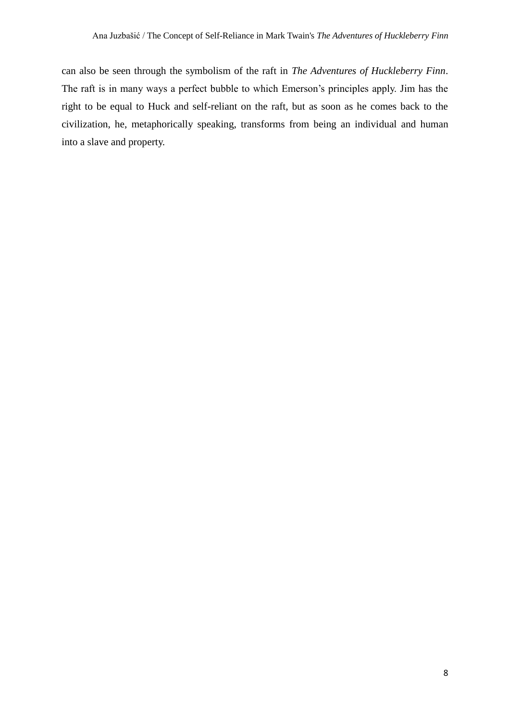can also be seen through the symbolism of the raft in *The Adventures of Huckleberry Finn*. The raft is in many ways a perfect bubble to which Emerson's principles apply. Jim has the right to be equal to Huck and self-reliant on the raft, but as soon as he comes back to the civilization, he, metaphorically speaking, transforms from being an individual and human into a slave and property.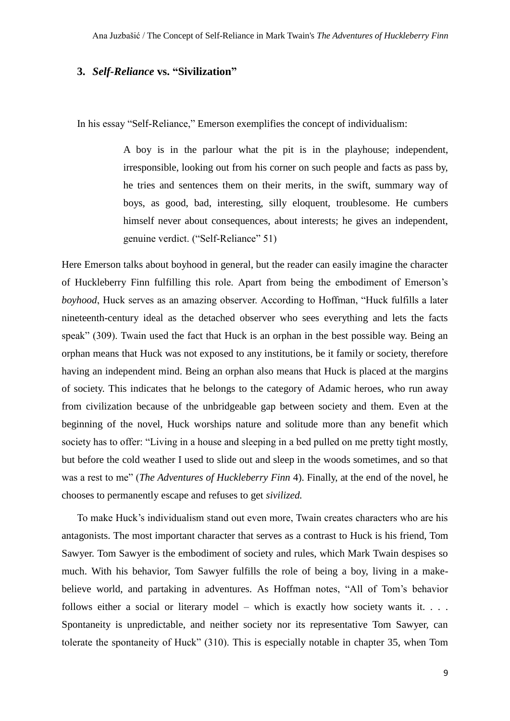#### **3.** *Self-Reliance* **vs. "Sivilization"**

In his essay "Self-Reliance," Emerson exemplifies the concept of individualism:

A boy is in the parlour what the pit is in the playhouse; independent, irresponsible, looking out from his corner on such people and facts as pass by, he tries and sentences them on their merits, in the swift, summary way of boys, as good, bad, interesting, silly eloquent, troublesome. He cumbers himself never about consequences, about interests; he gives an independent, genuine verdict. ("Self-Reliance" 51)

Here Emerson talks about boyhood in general, but the reader can easily imagine the character of Huckleberry Finn fulfilling this role. Apart from being the embodiment of Emerson's *boyhood*, Huck serves as an amazing observer. According to Hoffman, "Huck fulfills a later nineteenth-century ideal as the detached observer who sees everything and lets the facts speak" (309). Twain used the fact that Huck is an orphan in the best possible way. Being an orphan means that Huck was not exposed to any institutions, be it family or society, therefore having an independent mind. Being an orphan also means that Huck is placed at the margins of society. This indicates that he belongs to the category of Adamic heroes, who run away from civilization because of the unbridgeable gap between society and them. Even at the beginning of the novel, Huck worships nature and solitude more than any benefit which society has to offer: "Living in a house and sleeping in a bed pulled on me pretty tight mostly, but before the cold weather I used to slide out and sleep in the woods sometimes, and so that was a rest to me" (*The Adventures of Huckleberry Finn* 4). Finally, at the end of the novel, he chooses to permanently escape and refuses to get *sivilized.* 

To make Huck's individualism stand out even more, Twain creates characters who are his antagonists. The most important character that serves as a contrast to Huck is his friend, Tom Sawyer. Tom Sawyer is the embodiment of society and rules, which Mark Twain despises so much. With his behavior, Tom Sawyer fulfills the role of being a boy, living in a makebelieve world, and partaking in adventures. As Hoffman notes, "All of Tom's behavior follows either a social or literary model – which is exactly how society wants it. . . . Spontaneity is unpredictable, and neither society nor its representative Tom Sawyer, can tolerate the spontaneity of Huck" (310). This is especially notable in chapter 35, when Tom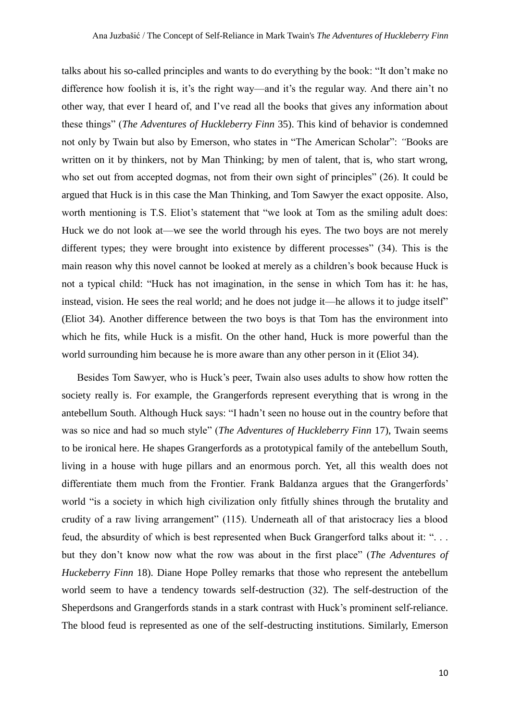talks about his so-called principles and wants to do everything by the book: "It don't make no difference how foolish it is, it's the right way—and it's the regular way. And there ain't no other way, that ever I heard of, and I've read all the books that gives any information about these things" (*The Adventures of Huckleberry Finn* 35). This kind of behavior is condemned not only by Twain but also by Emerson, who states in "The American Scholar": *"*Books are written on it by thinkers, not by Man Thinking; by men of talent, that is, who start wrong, who set out from accepted dogmas, not from their own sight of principles" (26). It could be argued that Huck is in this case the Man Thinking, and Tom Sawyer the exact opposite. Also, worth mentioning is T.S. Eliot's statement that "we look at Tom as the smiling adult does: Huck we do not look at—we see the world through his eyes. The two boys are not merely different types; they were brought into existence by different processes" (34). This is the main reason why this novel cannot be looked at merely as a children's book because Huck is not a typical child: "Huck has not imagination, in the sense in which Tom has it: he has, instead, vision. He sees the real world; and he does not judge it—he allows it to judge itself" (Eliot 34). Another difference between the two boys is that Tom has the environment into which he fits, while Huck is a misfit. On the other hand, Huck is more powerful than the world surrounding him because he is more aware than any other person in it (Eliot 34).

Besides Tom Sawyer, who is Huck's peer, Twain also uses adults to show how rotten the society really is. For example, the Grangerfords represent everything that is wrong in the antebellum South. Although Huck says: "I hadn't seen no house out in the country before that was so nice and had so much style" (*The Adventures of Huckleberry Finn* 17), Twain seems to be ironical here. He shapes Grangerfords as a prototypical family of the antebellum South, living in a house with huge pillars and an enormous porch. Yet, all this wealth does not differentiate them much from the Frontier. Frank Baldanza argues that the Grangerfords' world "is a society in which high civilization only fitfully shines through the brutality and crudity of a raw living arrangement" (115). Underneath all of that aristocracy lies a blood feud, the absurdity of which is best represented when Buck Grangerford talks about it: ". . . but they don't know now what the row was about in the first place" (*The Adventures of Huckeberry Finn* 18). Diane Hope Polley remarks that those who represent the antebellum world seem to have a tendency towards self-destruction (32). The self-destruction of the Sheperdsons and Grangerfords stands in a stark contrast with Huck's prominent self-reliance. The blood feud is represented as one of the self-destructing institutions. Similarly, Emerson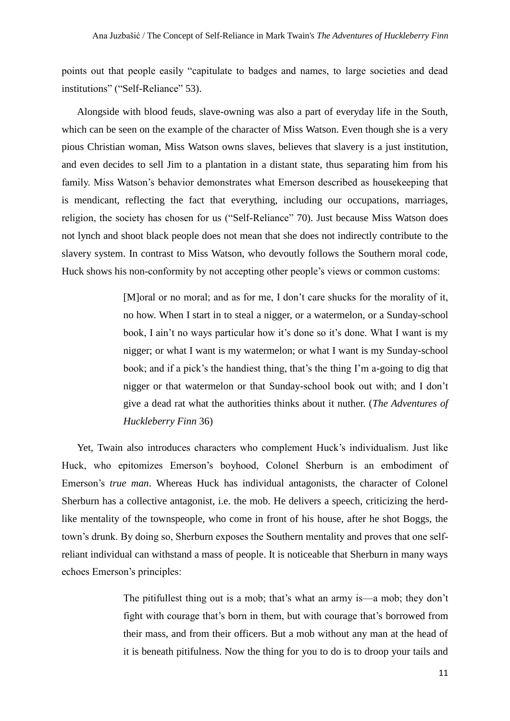points out that people easily "capitulate to badges and names, to large societies and dead institutions" ("Self-Reliance" 53).

Alongside with blood feuds, slave-owning was also a part of everyday life in the South, which can be seen on the example of the character of Miss Watson. Even though she is a very pious Christian woman, Miss Watson owns slaves, believes that slavery is a just institution, and even decides to sell Jim to a plantation in a distant state, thus separating him from his family. Miss Watson's behavior demonstrates what Emerson described as housekeeping that is mendicant, reflecting the fact that everything, including our occupations, marriages, religion, the society has chosen for us ("Self-Reliance" 70). Just because Miss Watson does not lynch and shoot black people does not mean that she does not indirectly contribute to the slavery system. In contrast to Miss Watson, who devoutly follows the Southern moral code, Huck shows his non-conformity by not accepting other people's views or common customs:

> [M]oral or no moral; and as for me, I don't care shucks for the morality of it, no how. When I start in to steal a nigger, or a watermelon, or a Sunday-school book, I ain't no ways particular how it's done so it's done. What I want is my nigger; or what I want is my watermelon; or what I want is my Sunday-school book; and if a pick's the handiest thing, that's the thing I'm a-going to dig that nigger or that watermelon or that Sunday-school book out with; and I don't give a dead rat what the authorities thinks about it nuther. (*The Adventures of Huckleberry Finn* 36)

Yet, Twain also introduces characters who complement Huck's individualism. Just like Huck, who epitomizes Emerson's boyhood, Colonel Sherburn is an embodiment of Emerson's *true man*. Whereas Huck has individual antagonists, the character of Colonel Sherburn has a collective antagonist, i.e. the mob. He delivers a speech, criticizing the herdlike mentality of the townspeople, who come in front of his house, after he shot Boggs, the town's drunk. By doing so, Sherburn exposes the Southern mentality and proves that one selfreliant individual can withstand a mass of people. It is noticeable that Sherburn in many ways echoes Emerson's principles:

> The pitifullest thing out is a mob; that's what an army is—a mob; they don't fight with courage that's born in them, but with courage that's borrowed from their mass, and from their officers. But a mob without any man at the head of it is beneath pitifulness. Now the thing for you to do is to droop your tails and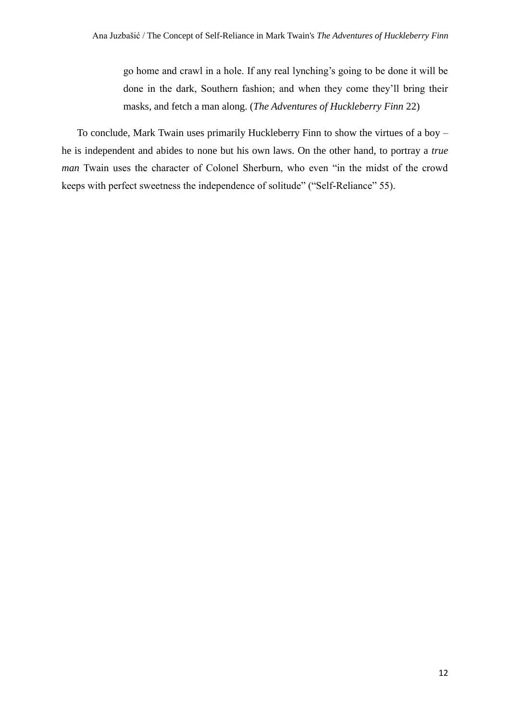go home and crawl in a hole. If any real lynching's going to be done it will be done in the dark, Southern fashion; and when they come they'll bring their masks, and fetch a man along. (*The Adventures of Huckleberry Finn* 22)

To conclude, Mark Twain uses primarily Huckleberry Finn to show the virtues of a boy – he is independent and abides to none but his own laws. On the other hand, to portray a *true man* Twain uses the character of Colonel Sherburn, who even "in the midst of the crowd keeps with perfect sweetness the independence of solitude" ("Self-Reliance" 55).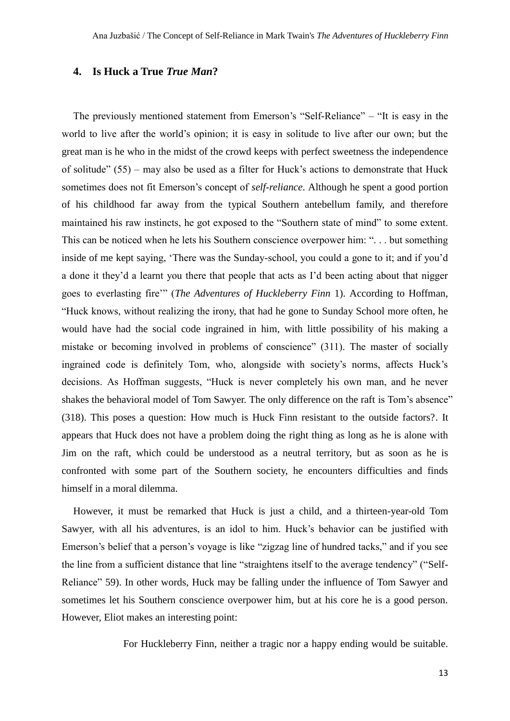#### **4. Is Huck a True** *True Man***?**

The previously mentioned statement from Emerson's "Self-Reliance" – "It is easy in the world to live after the world's opinion; it is easy in solitude to live after our own; but the great man is he who in the midst of the crowd keeps with perfect sweetness the independence of solitude" (55) – may also be used as a filter for Huck's actions to demonstrate that Huck sometimes does not fit Emerson's concept of *self-reliance*. Although he spent a good portion of his childhood far away from the typical Southern antebellum family, and therefore maintained his raw instincts, he got exposed to the "Southern state of mind" to some extent. This can be noticed when he lets his Southern conscience overpower him: ". . . but something inside of me kept saying, 'There was the Sunday-school, you could a gone to it; and if you'd a done it they'd a learnt you there that people that acts as I'd been acting about that nigger goes to everlasting fire'" (*The Adventures of Huckleberry Finn* 1). According to Hoffman, "Huck knows, without realizing the irony, that had he gone to Sunday School more often, he would have had the social code ingrained in him, with little possibility of his making a mistake or becoming involved in problems of conscience" (311). The master of socially ingrained code is definitely Tom, who, alongside with society's norms, affects Huck's decisions. As Hoffman suggests, "Huck is never completely his own man, and he never shakes the behavioral model of Tom Sawyer. The only difference on the raft is Tom's absence" (318). This poses a question: How much is Huck Finn resistant to the outside factors?. It appears that Huck does not have a problem doing the right thing as long as he is alone with Jim on the raft, which could be understood as a neutral territory, but as soon as he is confronted with some part of the Southern society, he encounters difficulties and finds himself in a moral dilemma.

However, it must be remarked that Huck is just a child, and a thirteen-year-old Tom Sawyer, with all his adventures, is an idol to him. Huck's behavior can be justified with Emerson's belief that a person's voyage is like "zigzag line of hundred tacks," and if you see the line from a sufficient distance that line "straightens itself to the average tendency" ("Self-Reliance" 59). In other words, Huck may be falling under the influence of Tom Sawyer and sometimes let his Southern conscience overpower him, but at his core he is a good person. However, Eliot makes an interesting point:

For Huckleberry Finn, neither a tragic nor a happy ending would be suitable.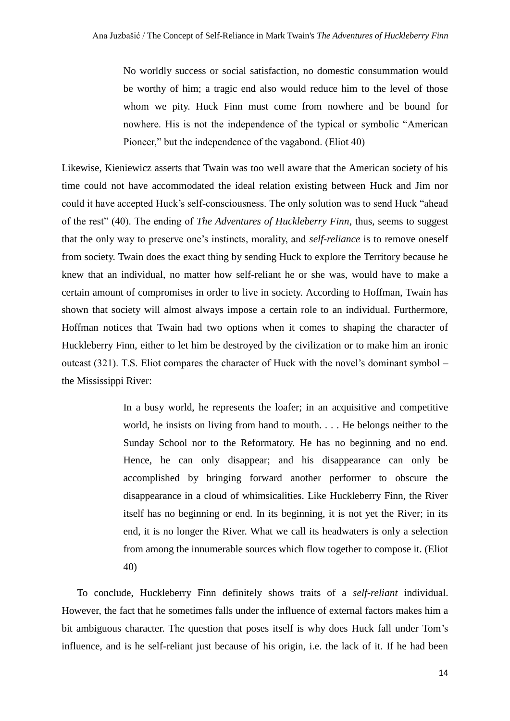No worldly success or social satisfaction, no domestic consummation would be worthy of him; a tragic end also would reduce him to the level of those whom we pity. Huck Finn must come from nowhere and be bound for nowhere. His is not the independence of the typical or symbolic "American Pioneer," but the independence of the vagabond. (Eliot 40)

Likewise, Kieniewicz asserts that Twain was too well aware that the American society of his time could not have accommodated the ideal relation existing between Huck and Jim nor could it have accepted Huck's self-consciousness. The only solution was to send Huck "ahead of the rest" (40). The ending of *The Adventures of Huckleberry Finn*, thus, seems to suggest that the only way to preserve one's instincts, morality, and *self-reliance* is to remove oneself from society. Twain does the exact thing by sending Huck to explore the Territory because he knew that an individual, no matter how self-reliant he or she was, would have to make a certain amount of compromises in order to live in society. According to Hoffman, Twain has shown that society will almost always impose a certain role to an individual. Furthermore, Hoffman notices that Twain had two options when it comes to shaping the character of Huckleberry Finn, either to let him be destroyed by the civilization or to make him an ironic outcast (321). T.S. Eliot compares the character of Huck with the novel's dominant symbol – the Mississippi River:

> In a busy world, he represents the loafer; in an acquisitive and competitive world, he insists on living from hand to mouth. . . . He belongs neither to the Sunday School nor to the Reformatory. He has no beginning and no end. Hence, he can only disappear; and his disappearance can only be accomplished by bringing forward another performer to obscure the disappearance in a cloud of whimsicalities. Like Huckleberry Finn, the River itself has no beginning or end. In its beginning, it is not yet the River; in its end, it is no longer the River. What we call its headwaters is only a selection from among the innumerable sources which flow together to compose it. (Eliot 40)

To conclude, Huckleberry Finn definitely shows traits of a *self-reliant* individual. However, the fact that he sometimes falls under the influence of external factors makes him a bit ambiguous character. The question that poses itself is why does Huck fall under Tom's influence, and is he self-reliant just because of his origin, i.e. the lack of it. If he had been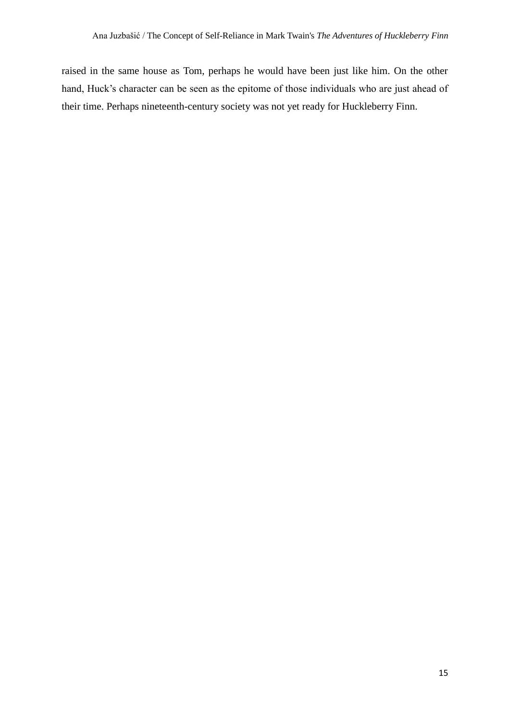raised in the same house as Tom, perhaps he would have been just like him. On the other hand, Huck's character can be seen as the epitome of those individuals who are just ahead of their time. Perhaps nineteenth-century society was not yet ready for Huckleberry Finn.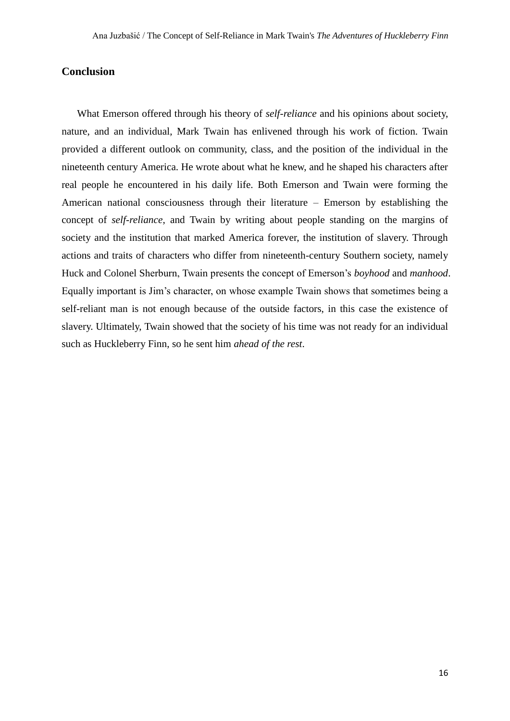#### **Conclusion**

What Emerson offered through his theory of *self-reliance* and his opinions about society, nature, and an individual, Mark Twain has enlivened through his work of fiction. Twain provided a different outlook on community, class, and the position of the individual in the nineteenth century America. He wrote about what he knew, and he shaped his characters after real people he encountered in his daily life. Both Emerson and Twain were forming the American national consciousness through their literature – Emerson by establishing the concept of *self-reliance*, and Twain by writing about people standing on the margins of society and the institution that marked America forever, the institution of slavery. Through actions and traits of characters who differ from nineteenth-century Southern society, namely Huck and Colonel Sherburn, Twain presents the concept of Emerson's *boyhood* and *manhood*. Equally important is Jim's character, on whose example Twain shows that sometimes being a self-reliant man is not enough because of the outside factors, in this case the existence of slavery. Ultimately, Twain showed that the society of his time was not ready for an individual such as Huckleberry Finn, so he sent him *ahead of the rest*.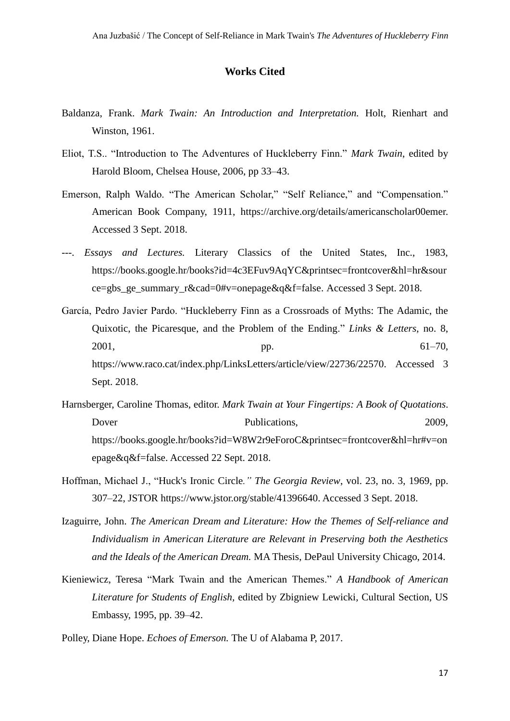#### **Works Cited**

- Baldanza, Frank. *Mark Twain: An Introduction and Interpretation.* Holt, Rienhart and Winston, 1961.
- Eliot, T.S.. "Introduction to The Adventures of Huckleberry Finn." *Mark Twain*, edited by Harold Bloom, Chelsea House, 2006, pp 33–43.
- Emerson, Ralph Waldo. "The American Scholar," "Self Reliance," and "Compensation." American Book Company, 1911, [https://archive.org/details/americanscholar00emer.](https://archive.org/details/americanscholar00emer) Accessed 3 Sept. 2018.
- ---. *Essays and Lectures.* Literary Classics of the United States, Inc., 1983, https://books.google.hr/books?id=4c3EFuv9AqYC&printsec=frontcover&hl=hr&sour ce=gbs\_ge\_summary\_r&cad=0#v=onepage&q&f=false. Accessed 3 Sept. 2018.
- García, Pedro Javier Pardo. "Huckleberry Finn as a Crossroads of Myths: The Adamic, the Quixotic, the Picaresque, and the Problem of the Ending." *Links & Letters*, no. 8,  $2001,$  pp. 61–70, [https://www.raco.cat/index.php/LinksLetters/article/view/22736/22570.](https://www.raco.cat/index.php/LinksLetters/article/view/22736/22570) Accessed 3 Sept. 2018.
- Harnsberger, Caroline Thomas, editor. *Mark Twain at Your Fingertips: A Book of Quotations*. Dover Publications, 2009, https://books.google.hr/books?id=W8W2r9eForoC&printsec=frontcover&hl=hr#v=on epage&q&f=false. Accessed 22 Sept. 2018.
- Hoffman, Michael J., "Huck's Ironic Circle*." The Georgia Review*, vol. 23, no. 3, 1969, pp. 307–22, JSTOR https://www.jstor.org/stable/41396640. Accessed 3 Sept. 2018.
- Izaguirre, John. *The American Dream and Literature: How the Themes of Self-reliance and Individualism in American Literature are Relevant in Preserving both the Aesthetics and the Ideals of the American Dream.* MA Thesis, DePaul University Chicago, 2014.
- Kieniewicz, Teresa "Mark Twain and the American Themes." *A Handbook of American Literature for Students of English,* edited by Zbigniew Lewicki*,* Cultural Section, US Embassy, 1995, pp. 39–42.
- Polley, Diane Hope. *Echoes of Emerson.* The U of Alabama P, 2017.